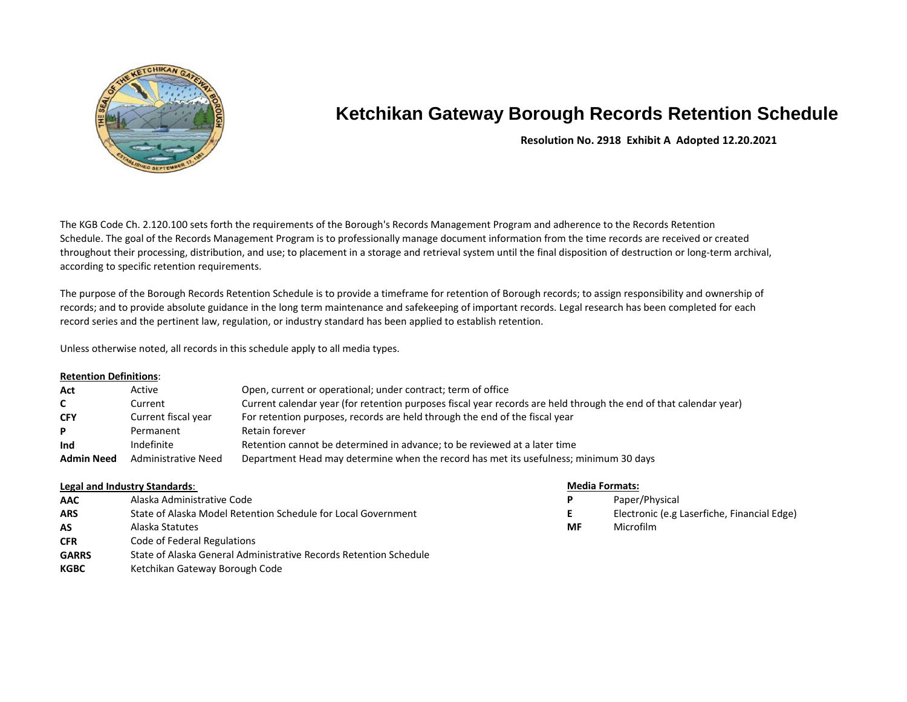

# **Ketchikan Gateway Borough Records Retention Schedule**

# **Resolution No. 2918 Exhibit A Adopted 12.20.2021**

The KGB Code Ch. 2.120.100 sets forth the requirements of the Borough's Records Management Program and adherence to the Records Retention Schedule. The goal of the Records Management Program is to professionally manage document information from the time records are received or created throughout their processing, distribution, and use; to placement in a storage and retrieval system until the final disposition of destruction or long-term archival, according to specific retention requirements.

The purpose of the Borough Records Retention Schedule is to provide a timeframe for retention of Borough records; to assign responsibility and ownership of records; and to provide absolute guidance in the long term maintenance and safekeeping of important records. Legal research has been completed for each record series and the pertinent law, regulation, or industry standard has been applied to establish retention.

Unless otherwise noted, all records in this schedule apply to all media types.

## **Retention Definitions**:

| Act               | Active                     | Open, current or operational; under contract; term of office                                                      |
|-------------------|----------------------------|-------------------------------------------------------------------------------------------------------------------|
| $\mathsf{C}$      | Current                    | Current calendar year (for retention purposes fiscal year records are held through the end of that calendar year) |
| <b>CFY</b>        | Current fiscal year        | For retention purposes, records are held through the end of the fiscal year                                       |
| P.                | Permanent                  | Retain forever                                                                                                    |
| Ind               | Indefinite                 | Retention cannot be determined in advance; to be reviewed at a later time                                         |
| <b>Admin Need</b> | <b>Administrative Need</b> | Department Head may determine when the record has met its usefulness; minimum 30 days                             |

### **Legal and Industry Standards**: **Media Formats:**

| <b>AAC</b>   | Alaska Administrative Code                                        | P. | Paper/Physical   |
|--------------|-------------------------------------------------------------------|----|------------------|
| <b>ARS</b>   | State of Alaska Model Retention Schedule for Local Government     |    | Electronic (e.g  |
| AS           | Alaska Statutes                                                   | MF | <b>Microfilm</b> |
| <b>CFR</b>   | Code of Federal Regulations                                       |    |                  |
| <b>GARRS</b> | State of Alaska General Administrative Records Retention Schedule |    |                  |
| <b>KGBC</b>  | Ketchikan Gateway Borough Code                                    |    |                  |

- 
- **E** Electronic (e.g Laserfiche, Financial Edge)
-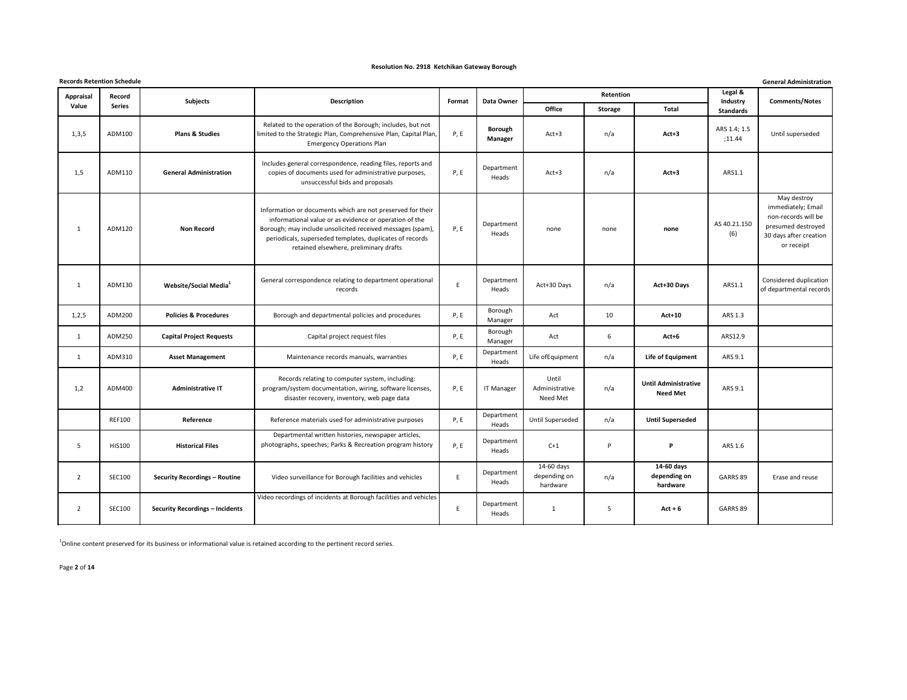| <b>Records Retention Schedule</b><br><b>General Administration</b> |               |                                        |                                                                                                                                                                                                                                                                                          |             |                           |                                        |           |                                                |                        |                                                                                                                        |  |
|--------------------------------------------------------------------|---------------|----------------------------------------|------------------------------------------------------------------------------------------------------------------------------------------------------------------------------------------------------------------------------------------------------------------------------------------|-------------|---------------------------|----------------------------------------|-----------|------------------------------------------------|------------------------|------------------------------------------------------------------------------------------------------------------------|--|
| <b>Appraisal</b>                                                   | Record        | <b>Subjects</b>                        | <b>Description</b>                                                                                                                                                                                                                                                                       | Format      | Data Owner                |                                        | Retention |                                                | Legal &<br>Industry    | <b>Comments/Notes</b>                                                                                                  |  |
| Value                                                              | <b>Series</b> |                                        |                                                                                                                                                                                                                                                                                          |             |                           | Office                                 | Storage   | <b>Total</b>                                   | <b>Standards</b>       |                                                                                                                        |  |
| 1,3,5                                                              | ADM100        | <b>Plans &amp; Studies</b>             | Related to the operation of the Borough; includes, but not<br>limited to the Strategic Plan, Comprehensive Plan, Capital Plan,<br><b>Emergency Operations Plan</b>                                                                                                                       | P, E        | <b>Borough</b><br>Manager | $Act+3$                                | n/a       | $Act+3$                                        | ARS 1.4; 1.5<br>;11.44 | Until superseded                                                                                                       |  |
| 1,5                                                                | ADM110        | <b>General Administration</b>          | Includes general correspondence, reading files, reports and<br>copies of documents used for administrative purposes,<br>unsuccessful bids and proposals                                                                                                                                  | P, E        | Department<br>Heads       | $Act+3$                                | n/a       | $Act+3$                                        | ARS1.1                 |                                                                                                                        |  |
| $\mathbf{1}$                                                       | ADM120        | <b>Non Record</b>                      | Information or documents which are not preserved for their<br>informational value or as evidence or operation of the<br>Borough; may include unsolicited received messages (spam),<br>periodicals, superseded templates, duplicates of records<br>retained elsewhere, preliminary drafts | <b>P, E</b> | Department<br>Heads       | none                                   | none      | none                                           | AS 40.21.150<br>(6)    | May destroy<br>immediately; Email<br>non-records will be<br>presumed destroyed<br>30 days after creation<br>or receipt |  |
| 1                                                                  | ADM130        | Website/Social Media <sup>1</sup>      | General correspondence relating to department operational<br>records                                                                                                                                                                                                                     | E           | Department<br>Heads       | Act+30 Days                            | n/a       | Act+30 Days                                    | ARS1.1                 | Considered duplication<br>of departmental records                                                                      |  |
| 1,2,5                                                              | ADM200        | <b>Policies &amp; Procedures</b>       | Borough and departmental policies and procedures                                                                                                                                                                                                                                         | P, E        | Borough<br>Manager        | Act                                    | 10        | $Act+10$                                       | ARS 1.3                |                                                                                                                        |  |
| 1                                                                  | ADM250        | <b>Capital Project Requests</b>        | Capital project request files                                                                                                                                                                                                                                                            | P, E        | Borough<br>Manager        | Act                                    | 6         | $Act+6$                                        | ARS12.9                |                                                                                                                        |  |
| 1                                                                  | ADM310        | <b>Asset Management</b>                | Maintenance records manuals, warranties                                                                                                                                                                                                                                                  | P, E        | Department<br>Heads       | Life of Equipment                      | n/a       | Life of Equipment                              | ARS 9.1                |                                                                                                                        |  |
| 1,2                                                                | ADM400        | <b>Administrative IT</b>               | Records relating to computer system, including:<br>program/system documentation, wiring, software licenses,<br>disaster recovery, inventory, web page data                                                                                                                               | P, E        | <b>IT Manager</b>         | Until<br>Administrative<br>Need Met    | n/a       | <b>Until Administrative</b><br><b>Need Met</b> | ARS 9.1                |                                                                                                                        |  |
|                                                                    | <b>REF100</b> | Reference                              | Reference materials used for administrative purposes                                                                                                                                                                                                                                     | P, E        | Department<br>Heads       | Until Superseded                       | n/a       | <b>Until Superseded</b>                        |                        |                                                                                                                        |  |
| 5                                                                  | <b>HIS100</b> | <b>Historical Files</b>                | Departmental written histories, newspaper articles,<br>photographs, speeches; Parks & Recreation program history                                                                                                                                                                         | P, E        | Department<br>Heads       | $C+1$                                  | P         | P                                              | ARS 1.6                |                                                                                                                        |  |
| 2                                                                  | <b>SEC100</b> | <b>Security Recordings - Routine</b>   | Video surveillance for Borough facilities and vehicles                                                                                                                                                                                                                                   | $\mathsf E$ | Department<br>Heads       | 14-60 days<br>depending on<br>hardware | n/a       | 14-60 days<br>depending on<br>hardware         | GARRS 89               | Erase and reuse                                                                                                        |  |
| $\overline{2}$                                                     | <b>SEC100</b> | <b>Security Recordings - Incidents</b> | Video recordings of incidents at Borough facilities and vehicles                                                                                                                                                                                                                         | E           | Department<br>Heads       | 1                                      | 5         | $Act + 6$                                      | GARRS 89               |                                                                                                                        |  |

 $1$ Online content preserved for its business or informational value is retained according to the pertinent record series.

Page **2** of **14**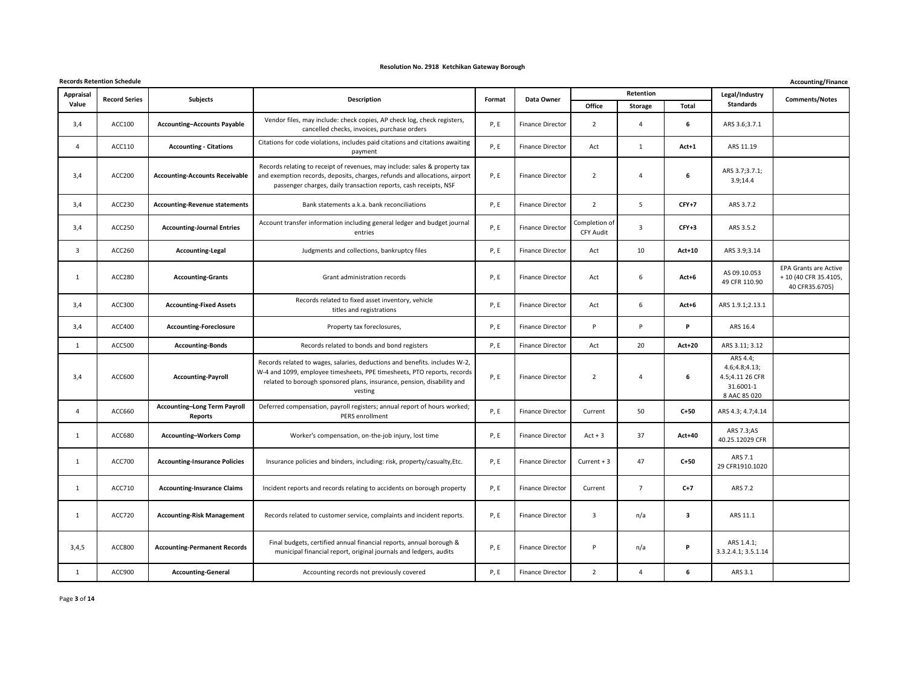|              | <b>Records Retention Schedule</b> |                                                |                                                                                                                                                                                                                                            |        |                         |                                   |                |               |                                                                             | Accounting/Finance                                                      |
|--------------|-----------------------------------|------------------------------------------------|--------------------------------------------------------------------------------------------------------------------------------------------------------------------------------------------------------------------------------------------|--------|-------------------------|-----------------------------------|----------------|---------------|-----------------------------------------------------------------------------|-------------------------------------------------------------------------|
| Appraisal    | <b>Record Series</b>              | <b>Subjects</b>                                | Description                                                                                                                                                                                                                                | Format | Data Owner              |                                   | Retention      |               | Legal/Industry                                                              | <b>Comments/Notes</b>                                                   |
| Value        |                                   |                                                |                                                                                                                                                                                                                                            |        |                         | Office                            | <b>Storage</b> | Total         | Standards                                                                   |                                                                         |
| 3,4          | ACC100                            | <b>Accounting-Accounts Payable</b>             | Vendor files, may include: check copies, AP check log, check registers,<br>cancelled checks, invoices, purchase orders                                                                                                                     | P, E   | <b>Finance Director</b> | $\overline{2}$                    | 4              | 6             | ARS 3.6;3.7.1                                                               |                                                                         |
| 4            | ACC110                            | <b>Accounting - Citations</b>                  | Citations for code violations, includes paid citations and citations awaiting<br>payment                                                                                                                                                   | P, E   | <b>Finance Director</b> | Act                               | $\mathbf{1}$   | Act+1         | ARS 11.19                                                                   |                                                                         |
| 3,4          | ACC200                            | <b>Accounting-Accounts Receivable</b>          | Records relating to receipt of revenues, may include: sales & property tax<br>and exemption records, deposits, charges, refunds and allocations, airport<br>passenger charges, daily transaction reports, cash receipts, NSF               | P, E   | <b>Finance Director</b> | $\overline{2}$                    | $\overline{4}$ | 6             | ARS 3.7;3.7.1;<br>3.9;14.4                                                  |                                                                         |
| 3,4          | ACC230                            | <b>Accounting-Revenue statements</b>           | Bank statements a.k.a. bank reconciliations                                                                                                                                                                                                | P, E   | Finance Director        | $\overline{2}$                    | 5              | $CFY+7$       | ARS 3.7.2                                                                   |                                                                         |
| 3,4          | ACC250                            | <b>Accounting-Journal Entries</b>              | Account transfer information including general ledger and budget journal<br>entries                                                                                                                                                        | P, E   | <b>Finance Director</b> | Completion of<br><b>CFY Audit</b> | 3              | $CFY+3$       | ARS 3.5.2                                                                   |                                                                         |
| 3            | ACC260                            | <b>Accounting-Legal</b>                        | Judgments and collections, bankruptcy files                                                                                                                                                                                                | P, E   | <b>Finance Director</b> | Act                               | 10             | <b>Act+10</b> | ARS 3.9;3.14                                                                |                                                                         |
| 1            | ACC280                            | <b>Accounting-Grants</b>                       | Grant administration records                                                                                                                                                                                                               | P, E   | Finance Director        | Act                               | 6              | $Act+6$       | AS 09.10.053<br>49 CFR 110.90                                               | <b>EPA Grants are Active</b><br>+ 10 (40 CFR 35.4105,<br>40 CFR35.6705) |
| 3,4          | ACC300                            | <b>Accounting-Fixed Assets</b>                 | Records related to fixed asset inventory, vehicle<br>titles and registrations                                                                                                                                                              | P, E   | Finance Director        | Act                               | 6              | $Act+6$       | ARS 1.9.1;2.13.1                                                            |                                                                         |
| 3,4          | ACC400                            | <b>Accounting-Foreclosure</b>                  | Property tax foreclosures,                                                                                                                                                                                                                 | P, E   | <b>Finance Director</b> | P                                 | P              | P             | ARS 16.4                                                                    |                                                                         |
| 1            | ACC500                            | <b>Accounting-Bonds</b>                        | Records related to bonds and bond registers                                                                                                                                                                                                | P, E   | <b>Finance Director</b> | Act                               | 20             | <b>Act+20</b> | ARS 3.11; 3.12                                                              |                                                                         |
| 3,4          | ACC600                            | <b>Accounting-Payroll</b>                      | Records related to wages, salaries, deductions and benefits. includes W-2,<br>W-4 and 1099, employee timesheets, PPE timesheets, PTO reports, records<br>related to borough sponsored plans, insurance, pension, disability and<br>vesting | P, E   | <b>Finance Director</b> | $\overline{2}$                    | $\overline{4}$ | 6             | ARS 4.4;<br>4.6; 4.8; 4.13;<br>4.5;4.11 26 CFR<br>31.6001-1<br>8 AAC 85 020 |                                                                         |
| 4            | ACC660                            | <b>Accounting-Long Term Payroll</b><br>Reports | Deferred compensation, payroll registers; annual report of hours worked;<br>PERS enrollment                                                                                                                                                | P, E   | <b>Finance Director</b> | Current                           | 50             | $C + 50$      | ARS 4.3; 4.7;4.14                                                           |                                                                         |
| 1            | ACC680                            | <b>Accounting-Workers Comp</b>                 | Worker's compensation, on-the-job injury, lost time                                                                                                                                                                                        | P, E   | <b>Finance Director</b> | $Act + 3$                         | 37             | <b>Act+40</b> | ARS 7.3;AS<br>40.25.12029 CFR                                               |                                                                         |
| 1            | <b>ACC700</b>                     | <b>Accounting-Insurance Policies</b>           | Insurance policies and binders, including: risk, property/casualty, Etc.                                                                                                                                                                   | P, E   | <b>Finance Director</b> | Current $+3$                      | 47             | $C + 50$      | ARS 7.1<br>29 CFR1910.1020                                                  |                                                                         |
| 1            | ACC710                            | <b>Accounting-Insurance Claims</b>             | Incident reports and records relating to accidents on borough property                                                                                                                                                                     | P, E   | <b>Finance Director</b> | Current                           | $\overline{7}$ | $C+7$         | ARS 7.2                                                                     |                                                                         |
| 1            | <b>ACC720</b>                     | <b>Accounting-Risk Management</b>              | Records related to customer service, complaints and incident reports.                                                                                                                                                                      | P, E   | Finance Director        | $\overline{\mathbf{3}}$           | n/a            | 3             | ARS 11.1                                                                    |                                                                         |
| 3,4,5        | ACC800                            | <b>Accounting-Permanent Records</b>            | Final budgets, certified annual financial reports, annual borough &<br>municipal financial report, original journals and ledgers, audits                                                                                                   | P, E   | Finance Director        | P                                 | n/a            | P             | ARS 1.4.1;<br>3.3.2.4.1; 3.5.1.14                                           |                                                                         |
| $\mathbf{1}$ | ACC900                            | <b>Accounting-General</b>                      | Accounting records not previously covered                                                                                                                                                                                                  | P, E   | Finance Director        | $\overline{2}$                    | 4              | 6             | ARS 3.1                                                                     |                                                                         |

Page **3** of **14**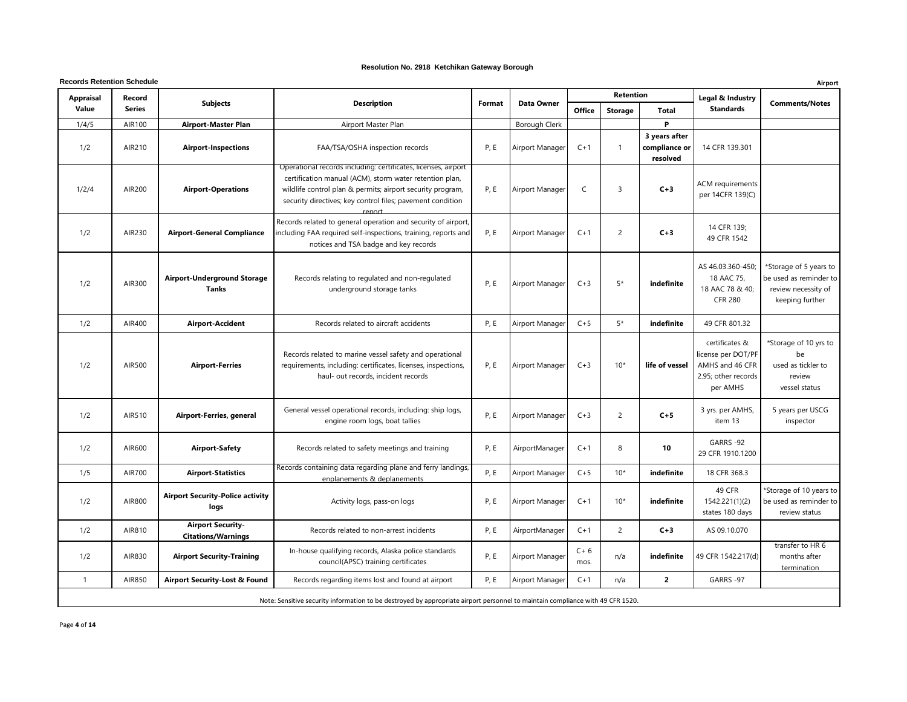| <b>Records Retention Schedule</b> |                         |                                                       |                                                                                                                                                                                                                                                                 |        |                 |               |                  | Airport                                    |                                                                                            |                                                                                            |
|-----------------------------------|-------------------------|-------------------------------------------------------|-----------------------------------------------------------------------------------------------------------------------------------------------------------------------------------------------------------------------------------------------------------------|--------|-----------------|---------------|------------------|--------------------------------------------|--------------------------------------------------------------------------------------------|--------------------------------------------------------------------------------------------|
| <b>Appraisal</b><br>Value         | Record<br><b>Series</b> | <b>Subjects</b>                                       | <b>Description</b>                                                                                                                                                                                                                                              | Format | Data Owner      |               | <b>Retention</b> |                                            | Legal & Industry<br><b>Standards</b>                                                       | <b>Comments/Notes</b>                                                                      |
|                                   |                         |                                                       |                                                                                                                                                                                                                                                                 |        |                 | <b>Office</b> | <b>Storage</b>   | <b>Total</b>                               |                                                                                            |                                                                                            |
| 1/4/5                             | AIR100                  | <b>Airport-Master Plan</b>                            | Airport Master Plan                                                                                                                                                                                                                                             |        | Borough Clerk   |               |                  | P                                          |                                                                                            |                                                                                            |
| 1/2                               | AIR210                  | <b>Airport-Inspections</b>                            | FAA/TSA/OSHA inspection records                                                                                                                                                                                                                                 | P, E   | Airport Manager | $C+1$         | -1               | 3 years after<br>compliance or<br>resolved | 14 CFR 139.301                                                                             |                                                                                            |
| 1/2/4                             | AIR200                  | <b>Airport-Operations</b>                             | Operational records including: certificates, licenses, airport<br>certification manual (ACM), storm water retention plan,<br>wildlife control plan & permits; airport security program,<br>security directives; key control files; pavement condition<br>renort | P, E   | Airport Manager | C             | 3                | $C+3$                                      | ACM requirements<br>per 14CFR 139(C)                                                       |                                                                                            |
| 1/2                               | AIR230                  | <b>Airport-General Compliance</b>                     | Records related to general operation and security of airport,<br>including FAA required self-inspections, training, reports and<br>notices and TSA badge and key records                                                                                        | P, E   | Airport Manager | $C+1$         | $\overline{c}$   | $C+3$                                      | 14 CFR 139;<br>49 CFR 1542                                                                 |                                                                                            |
| 1/2                               | AIR300                  | <b>Airport-Underground Storage</b><br><b>Tanks</b>    | Records relating to regulated and non-regulated<br>underground storage tanks                                                                                                                                                                                    | P, E   | Airport Manager | $C+3$         | $5*$             | indefinite                                 | AS 46.03.360-450;<br>18 AAC 75,<br>18 AAC 78 & 40;<br><b>CFR 280</b>                       | *Storage of 5 years to<br>be used as reminder to<br>review necessity of<br>keeping further |
| 1/2                               | AIR400                  | <b>Airport-Accident</b>                               | Records related to aircraft accidents                                                                                                                                                                                                                           | P, E   | Airport Manager | $C+5$         | 5*               | indefinite                                 | 49 CFR 801.32                                                                              |                                                                                            |
| 1/2                               | AIR500                  | <b>Airport-Ferries</b>                                | Records related to marine vessel safety and operational<br>requirements, including: certificates, licenses, inspections,<br>haul- out records, incident records                                                                                                 | P, E   | Airport Manager | $C+3$         | $10*$            | life of vessel                             | certificates &<br>license per DOT/PF<br>AMHS and 46 CFR<br>2.95; other records<br>per AMHS | *Storage of 10 yrs to<br>be<br>used as tickler to<br>review<br>vessel status               |
| 1/2                               | AIR510                  | Airport-Ferries, general                              | General vessel operational records, including: ship logs,<br>engine room logs, boat tallies                                                                                                                                                                     | P, E   | Airport Manager | $C+3$         | 2                | $C+5$                                      | 3 yrs. per AMHS,<br>item 13                                                                | 5 years per USCG<br>inspector                                                              |
| 1/2                               | AIR600                  | <b>Airport-Safety</b>                                 | Records related to safety meetings and training                                                                                                                                                                                                                 | P, E   | AirportManager  | $C+1$         | 8                | 10                                         | GARRS -92<br>29 CFR 1910.1200                                                              |                                                                                            |
| 1/5                               | <b>AIR700</b>           | <b>Airport-Statistics</b>                             | Records containing data regarding plane and ferry landings,<br>enplanements & deplanements                                                                                                                                                                      | P, E   | Airport Manager | $C+5$         | $10*$            | indefinite                                 | 18 CFR 368.3                                                                               |                                                                                            |
| 1/2                               | AIR800                  | <b>Airport Security-Police activity</b><br>logs       | Activity logs, pass-on logs                                                                                                                                                                                                                                     | P, E   | Airport Manager | $C+1$         | $10*$            | indefinite                                 | 49 CFR<br>1542.221(1)(2)<br>states 180 days                                                | *Storage of 10 years to<br>be used as reminder to<br>review status                         |
| 1/2                               | AIR810                  | <b>Airport Security-</b><br><b>Citations/Warnings</b> | Records related to non-arrest incidents                                                                                                                                                                                                                         | P, E   | AirportManager  | $C+1$         | $\overline{2}$   | $C+3$                                      | AS 09.10.070                                                                               |                                                                                            |
| 1/2                               | AIR830                  | <b>Airport Security-Training</b>                      | In-house qualifying records, Alaska police standards<br>council(APSC) training certificates                                                                                                                                                                     | P, E   | Airport Manager | $C+6$<br>mos. | n/a              | indefinite                                 | 49 CFR 1542.217(d)                                                                         | transfer to HR 6<br>months after<br>termination                                            |
| $\overline{1}$                    | AIR850                  | <b>Airport Security-Lost &amp; Found</b>              | Records regarding items lost and found at airport                                                                                                                                                                                                               | P, E   | Airport Manager | $C+1$         | n/a              | $\overline{2}$                             | GARRS -97                                                                                  |                                                                                            |
|                                   |                         |                                                       | Note: Sensitive security information to be destroyed by appropriate airport personnel to maintain compliance with 49 CFR 1520.                                                                                                                                  |        |                 |               |                  |                                            |                                                                                            |                                                                                            |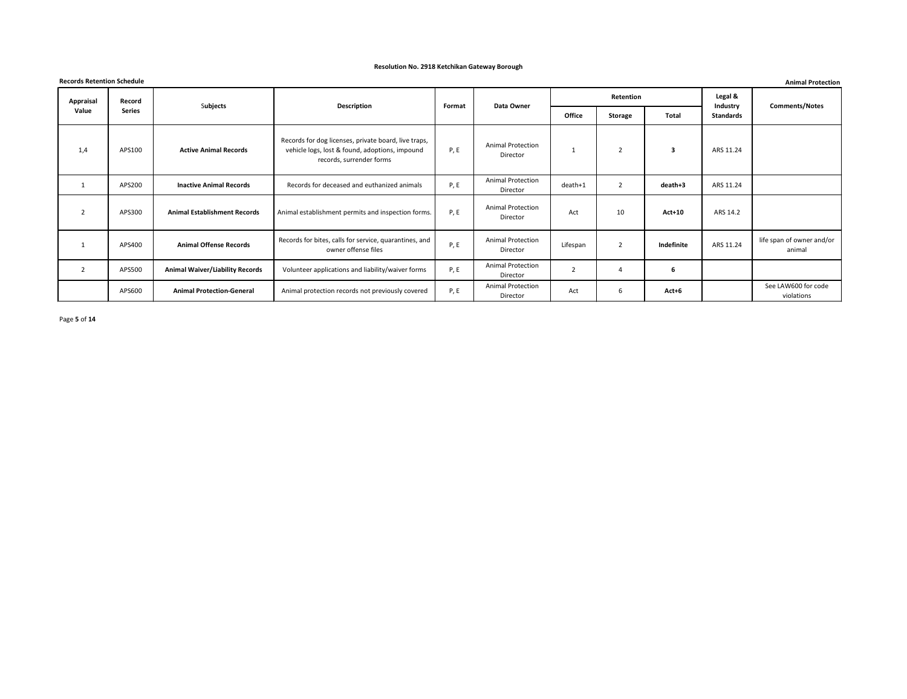|                  | <b>Records Retention Schedule</b><br><b>Animal Protection</b> |                                        |                                                                                                                                    |        |                                      |                |                |               |                     |                                     |  |  |
|------------------|---------------------------------------------------------------|----------------------------------------|------------------------------------------------------------------------------------------------------------------------------------|--------|--------------------------------------|----------------|----------------|---------------|---------------------|-------------------------------------|--|--|
| <b>Appraisal</b> | Record                                                        | Subjects                               | Description                                                                                                                        | Format | Data Owner                           |                | Retention      |               | Legal &<br>Industry | <b>Comments/Notes</b>               |  |  |
| Value            | <b>Series</b>                                                 |                                        |                                                                                                                                    |        |                                      | Office         | <b>Storage</b> | <b>Total</b>  | Standards           |                                     |  |  |
| 1,4              | APS100                                                        | <b>Active Animal Records</b>           | Records for dog licenses, private board, live traps,<br>vehicle logs, lost & found, adoptions, impound<br>records, surrender forms | P, E   | <b>Animal Protection</b><br>Director |                | $\overline{2}$ | 3             | ARS 11.24           |                                     |  |  |
| 1                | APS200                                                        | <b>Inactive Animal Records</b>         | Records for deceased and euthanized animals                                                                                        | P, E   | <b>Animal Protection</b><br>Director | death+1        | $\overline{2}$ | death+3       | ARS 11.24           |                                     |  |  |
| $\overline{2}$   | APS300                                                        | <b>Animal Establishment Records</b>    | Animal establishment permits and inspection forms.                                                                                 | P, E   | <b>Animal Protection</b><br>Director | Act            | 10             | <b>Act+10</b> | ARS 14.2            |                                     |  |  |
| 1                | APS400                                                        | <b>Animal Offense Records</b>          | Records for bites, calls for service, quarantines, and<br>owner offense files                                                      | P, E   | <b>Animal Protection</b><br>Director | Lifespan       | $\overline{2}$ | Indefinite    | ARS 11.24           | life span of owner and/or<br>animal |  |  |
| $\overline{2}$   | APS500                                                        | <b>Animal Waiver/Liability Records</b> | Volunteer applications and liability/waiver forms                                                                                  | P, E   | <b>Animal Protection</b><br>Director | $\overline{2}$ | $\overline{4}$ | 6             |                     |                                     |  |  |
|                  | APS600                                                        | <b>Animal Protection-General</b>       | Animal protection records not previously covered                                                                                   | P, E   | <b>Animal Protection</b><br>Director | Act            | 6              | $Act+6$       |                     | See LAW600 for code<br>violations   |  |  |

Page **5** of **14**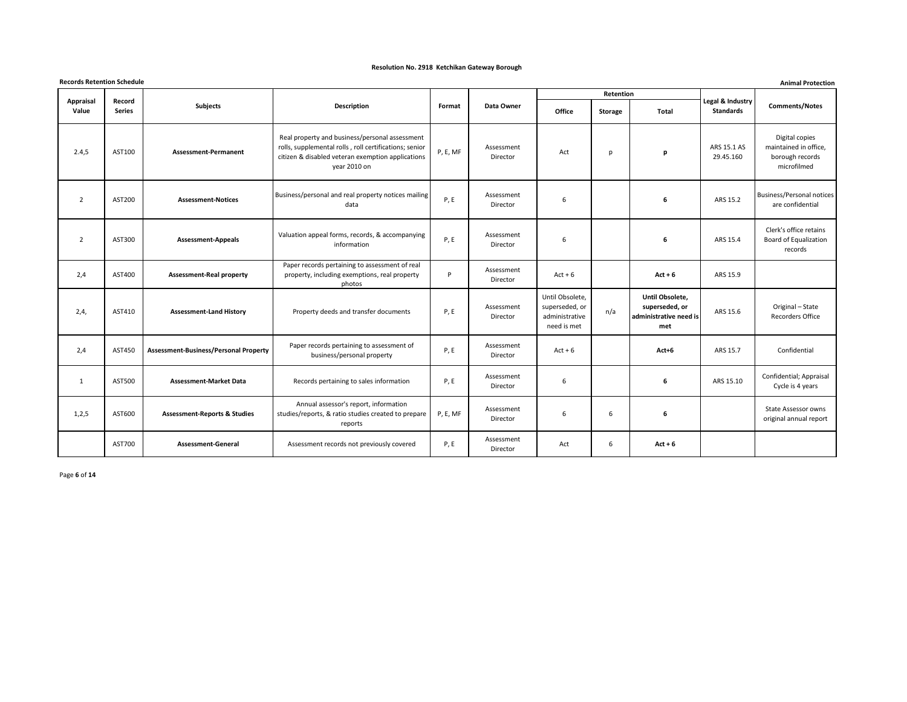|                    | <b>Records Retention Schedule</b><br><b>Animal Protection</b> |                                              |                                                                                                                                                                               |          |                        |                                                                    |                |                                                                    |                                      |                                                                           |  |  |  |
|--------------------|---------------------------------------------------------------|----------------------------------------------|-------------------------------------------------------------------------------------------------------------------------------------------------------------------------------|----------|------------------------|--------------------------------------------------------------------|----------------|--------------------------------------------------------------------|--------------------------------------|---------------------------------------------------------------------------|--|--|--|
|                    |                                                               |                                              |                                                                                                                                                                               |          |                        |                                                                    | Retention      |                                                                    |                                      |                                                                           |  |  |  |
| Appraisal<br>Value | Record<br>Series                                              | Subjects                                     | <b>Description</b>                                                                                                                                                            | Format   | Data Owner             | Office                                                             | <b>Storage</b> | Total                                                              | Legal & Industry<br><b>Standards</b> | <b>Comments/Notes</b>                                                     |  |  |  |
| 2.4,5              | AST100                                                        | <b>Assessment-Permanent</b>                  | Real property and business/personal assessment<br>rolls, supplemental rolls, roll certifications; senior<br>citizen & disabled veteran exemption applications<br>year 2010 on | P, E, MF | Assessment<br>Director | Act                                                                | p              | p                                                                  | ARS 15.1 AS<br>29.45.160             | Digital copies<br>maintained in office,<br>borough records<br>microfilmed |  |  |  |
| $\overline{2}$     | AST200                                                        | <b>Assessment-Notices</b>                    | Business/personal and real property notices mailing<br>data                                                                                                                   | P, E     | Assessment<br>Director | 6                                                                  |                | 6                                                                  | ARS 15.2                             | <b>Business/Personal notices</b><br>are confidential                      |  |  |  |
| $\overline{2}$     | AST300                                                        | <b>Assessment-Appeals</b>                    | Valuation appeal forms, records, & accompanying<br>information                                                                                                                | P, E     | Assessment<br>Director | 6                                                                  |                | 6                                                                  | ARS 15.4                             | Clerk's office retains<br><b>Board of Equalization</b><br>records         |  |  |  |
| 2,4                | AST400                                                        | <b>Assessment-Real property</b>              | Paper records pertaining to assessment of real<br>property, including exemptions, real property<br>photos                                                                     | P        | Assessment<br>Director | $Act + 6$                                                          |                | $Act + 6$                                                          | ARS 15.9                             |                                                                           |  |  |  |
| 2,4,               | AST410                                                        | <b>Assessment-Land History</b>               | Property deeds and transfer documents                                                                                                                                         | P, E     | Assessment<br>Director | Until Obsolete,<br>superseded, or<br>administrative<br>need is met | n/a            | Until Obsolete,<br>superseded, or<br>administrative need is<br>met | ARS 15.6                             | Original - State<br><b>Recorders Office</b>                               |  |  |  |
| 2,4                | AST450                                                        | <b>Assessment-Business/Personal Property</b> | Paper records pertaining to assessment of<br>business/personal property                                                                                                       | P, E     | Assessment<br>Director | $Act + 6$                                                          |                | $Act+6$                                                            | ARS 15.7                             | Confidential                                                              |  |  |  |
| $\mathbf{1}$       | AST500                                                        | <b>Assessment-Market Data</b>                | Records pertaining to sales information                                                                                                                                       | P, E     | Assessment<br>Director | 6                                                                  |                | 6                                                                  | ARS 15.10                            | Confidential; Appraisal<br>Cycle is 4 years                               |  |  |  |
| 1,2,5              | AST600                                                        | <b>Assessment-Reports &amp; Studies</b>      | Annual assessor's report, information<br>studies/reports, & ratio studies created to prepare<br>reports                                                                       | P, E, MF | Assessment<br>Director | 6                                                                  | 6              | 6                                                                  |                                      | <b>State Assessor owns</b><br>original annual report                      |  |  |  |
|                    | AST700                                                        | <b>Assessment-General</b>                    | Assessment records not previously covered                                                                                                                                     | P, E     | Assessment<br>Director | Act                                                                | 6              | $Act + 6$                                                          |                                      |                                                                           |  |  |  |

Page **6** of **14**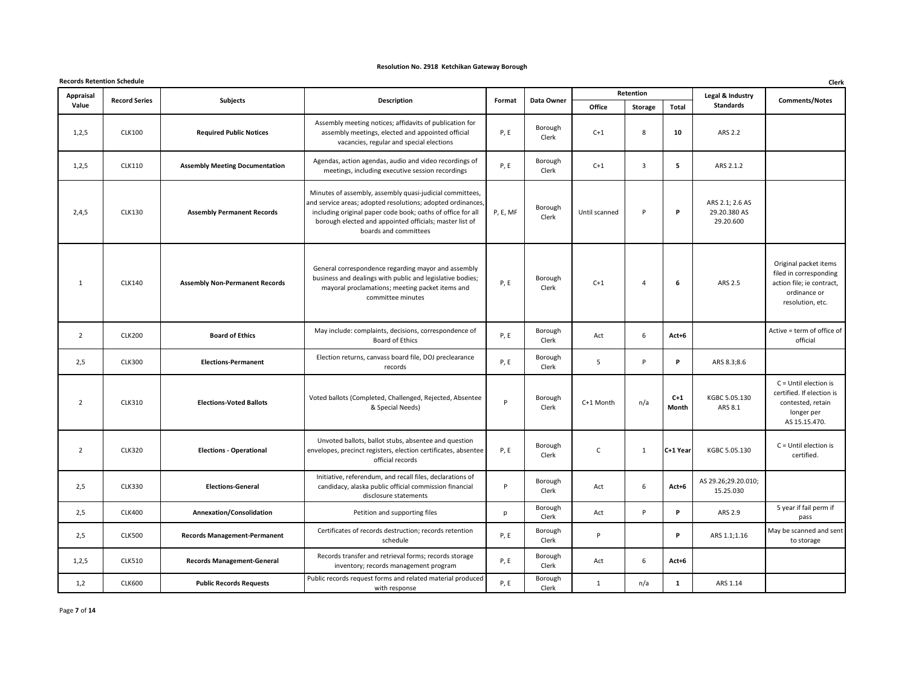|                | <b>Records Retention Schedule</b> |                                       |                                                                                                                                                                                                                                                                            |             |                  |               |                |                |                                              |                                                                                                                  |  |
|----------------|-----------------------------------|---------------------------------------|----------------------------------------------------------------------------------------------------------------------------------------------------------------------------------------------------------------------------------------------------------------------------|-------------|------------------|---------------|----------------|----------------|----------------------------------------------|------------------------------------------------------------------------------------------------------------------|--|
| Appraisal      | <b>Record Series</b>              | <b>Subjects</b>                       | Description                                                                                                                                                                                                                                                                | Format      | Data Owner       |               | Retention      |                | Legal & Industry                             | <b>Comments/Notes</b>                                                                                            |  |
| Value          |                                   |                                       |                                                                                                                                                                                                                                                                            |             |                  | Office        | <b>Storage</b> | Total          | Standards                                    |                                                                                                                  |  |
| 1,2,5          | <b>CLK100</b>                     | <b>Required Public Notices</b>        | Assembly meeting notices; affidavits of publication for<br>assembly meetings, elected and appointed official<br>vacancies, regular and special elections                                                                                                                   | <b>P, E</b> | Borough<br>Clerk | $C+1$         | 8              | 10             | ARS 2.2                                      |                                                                                                                  |  |
| 1,2,5          | <b>CLK110</b>                     | <b>Assembly Meeting Documentation</b> | Agendas, action agendas, audio and video recordings of<br>meetings, including executive session recordings                                                                                                                                                                 | <b>P, E</b> | Borough<br>Clerk | $C+1$         | $\overline{3}$ | 5              | ARS 2.1.2                                    |                                                                                                                  |  |
| 2,4,5          | <b>CLK130</b>                     | <b>Assembly Permanent Records</b>     | Minutes of assembly, assembly quasi-judicial committees,<br>and service areas; adopted resolutions; adopted ordinances,<br>including original paper code book; oaths of office for all<br>borough elected and appointed officials; master list of<br>boards and committees | P, E, MF    | Borough<br>Clerk | Until scanned | P              | P              | ARS 2.1; 2.6 AS<br>29.20.380 AS<br>29.20.600 |                                                                                                                  |  |
| $\mathbf{1}$   | <b>CLK140</b>                     | <b>Assembly Non-Permanent Records</b> | General correspondence regarding mayor and assembly<br>business and dealings with public and legislative bodies;<br>mayoral proclamations; meeting packet items and<br>committee minutes                                                                                   | P, E        | Borough<br>Clerk | $C+1$         | $\overline{4}$ | 6              | ARS 2.5                                      | Original packet items<br>filed in corresponding<br>action file; ie contract,<br>ordinance or<br>resolution, etc. |  |
| $\overline{2}$ | <b>CLK200</b>                     | <b>Board of Ethics</b>                | May include: complaints, decisions, correspondence of<br>Board of Ethics                                                                                                                                                                                                   | P, E        | Borough<br>Clerk | Act           | 6              | Act+6          |                                              | Active = term of office of<br>official                                                                           |  |
| 2,5            | <b>CLK300</b>                     | <b>Elections-Permanent</b>            | Election returns, canvass board file, DOJ preclearance<br>records                                                                                                                                                                                                          | P, E        | Borough<br>Clerk | 5             | P              | P              | ARS 8.3;8.6                                  |                                                                                                                  |  |
| $\overline{2}$ | <b>CLK310</b>                     | <b>Elections-Voted Ballots</b>        | Voted ballots (Completed, Challenged, Rejected, Absentee<br>& Special Needs)                                                                                                                                                                                               | P           | Borough<br>Clerk | C+1 Month     | n/a            | $C+1$<br>Month | KGBC 5.05.130<br>ARS 8.1                     | $C =$ Until election is<br>certified. If election is<br>contested, retain<br>longer per<br>AS 15.15.470.         |  |
| $\overline{2}$ | <b>CLK320</b>                     | <b>Elections - Operational</b>        | Unvoted ballots, ballot stubs, absentee and question<br>envelopes, precinct registers, election certificates, absentee<br>official records                                                                                                                                 | P, E        | Borough<br>Clerk | C             | 1              | C+1 Year       | KGBC 5.05.130                                | $C =$ Until election is<br>certified.                                                                            |  |
| 2,5            | CLK330                            | <b>Elections-General</b>              | Initiative, referendum, and recall files, declarations of<br>candidacy, alaska public official commission financial<br>disclosure statements                                                                                                                               | P           | Borough<br>Clerk | Act           | 6              | Act+6          | AS 29.26;29.20.010;<br>15.25.030             |                                                                                                                  |  |
| 2,5            | <b>CLK400</b>                     | Annexation/Consolidation              | Petition and supporting files                                                                                                                                                                                                                                              | p           | Borough<br>Clerk | Act           | P              | P.             | ARS 2.9                                      | 5 year if fail perm if<br>pass                                                                                   |  |
| 2,5            | <b>CLK500</b>                     | <b>Records Management-Permanent</b>   | Certificates of records destruction; records retention<br>schedule                                                                                                                                                                                                         | P, E        | Borough<br>Clerk | P             |                | P.             | ARS 1.1;1.16                                 | May be scanned and sent<br>to storage                                                                            |  |
| 1,2,5          | <b>CLK510</b>                     | <b>Records Management-General</b>     | Records transfer and retrieval forms; records storage<br>inventory; records management program                                                                                                                                                                             | <b>P, E</b> | Borough<br>Clerk | Act           | 6              | Act+6          |                                              |                                                                                                                  |  |
| 1,2            | <b>CLK600</b>                     | <b>Public Records Requests</b>        | Public records request forms and related material produced<br>with response                                                                                                                                                                                                | <b>P, E</b> | Borough<br>Clerk | $\mathbf{1}$  | n/a            | $\mathbf{1}$   | ARS 1.14                                     |                                                                                                                  |  |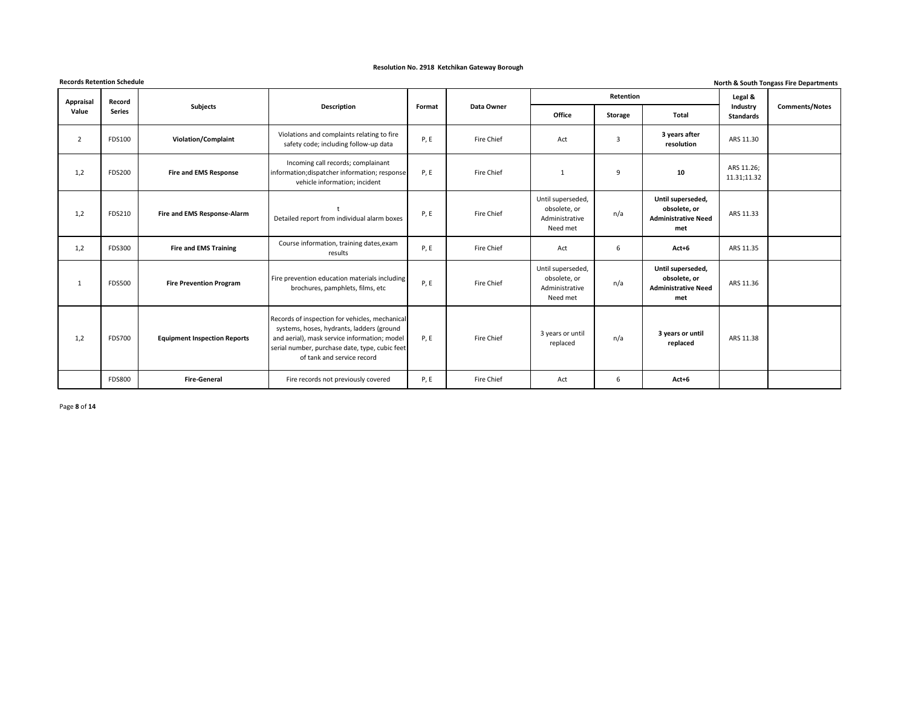|                | <b>Records Retention Schedule</b><br>North & South Tongass Fire Departments |                                     |                                                                                                                                                                                                                             |        |            |                                                                 |                  |                                                                        |                              |                       |  |  |  |
|----------------|-----------------------------------------------------------------------------|-------------------------------------|-----------------------------------------------------------------------------------------------------------------------------------------------------------------------------------------------------------------------------|--------|------------|-----------------------------------------------------------------|------------------|------------------------------------------------------------------------|------------------------------|-----------------------|--|--|--|
| Appraisal      | Record                                                                      |                                     |                                                                                                                                                                                                                             |        |            |                                                                 | <b>Retention</b> |                                                                        | Legal &                      |                       |  |  |  |
| Value          | <b>Series</b>                                                               | Subjects                            | <b>Description</b>                                                                                                                                                                                                          | Format | Data Owner | Office                                                          | Storage          | <b>Total</b>                                                           | Industry<br><b>Standards</b> | <b>Comments/Notes</b> |  |  |  |
| $\overline{2}$ | FDS100                                                                      | <b>Violation/Complaint</b>          | Violations and complaints relating to fire<br>safety code; including follow-up data                                                                                                                                         | P, E   | Fire Chief | Act                                                             | 3                | 3 years after<br>resolution                                            | ARS 11.30                    |                       |  |  |  |
| 1,2            | <b>FDS200</b>                                                               | <b>Fire and EMS Response</b>        | Incoming call records; complainant<br>information; dispatcher information; response<br>vehicle information; incident                                                                                                        | P, E   | Fire Chief | $\mathbf{1}$                                                    | 9                | 10                                                                     | ARS 11.26;<br>11.31;11.32    |                       |  |  |  |
| 1,2            | FDS210                                                                      | Fire and EMS Response-Alarm         | Detailed report from individual alarm boxes                                                                                                                                                                                 | P, E   | Fire Chief | Until superseded,<br>obsolete, or<br>Administrative<br>Need met | n/a              | Until superseded,<br>obsolete, or<br><b>Administrative Need</b><br>met | ARS 11.33                    |                       |  |  |  |
| 1,2            | FDS300                                                                      | <b>Fire and EMS Training</b>        | Course information, training dates, exam<br>results                                                                                                                                                                         | P, E   | Fire Chief | Act                                                             | 6                | $Act+6$                                                                | ARS 11.35                    |                       |  |  |  |
| 1              | <b>FDS500</b>                                                               | <b>Fire Prevention Program</b>      | Fire prevention education materials including<br>brochures, pamphlets, films, etc                                                                                                                                           | P, E   | Fire Chief | Until superseded,<br>obsolete, or<br>Administrative<br>Need met | n/a              | Until superseded,<br>obsolete, or<br><b>Administrative Need</b><br>met | ARS 11.36                    |                       |  |  |  |
| 1,2            | <b>FDS700</b>                                                               | <b>Equipment Inspection Reports</b> | Records of inspection for vehicles, mechanical<br>systems, hoses, hydrants, ladders (ground<br>and aerial), mask service information; model<br>serial number, purchase date, type, cubic feet<br>of tank and service record | P, E   | Fire Chief | 3 years or until<br>replaced                                    | n/a              | 3 years or until<br>replaced                                           | ARS 11.38                    |                       |  |  |  |
|                | <b>FDS800</b>                                                               | <b>Fire-General</b>                 | Fire records not previously covered                                                                                                                                                                                         | P, E   | Fire Chief | Act                                                             | 6                | $Act+6$                                                                |                              |                       |  |  |  |

Page **8** of **14**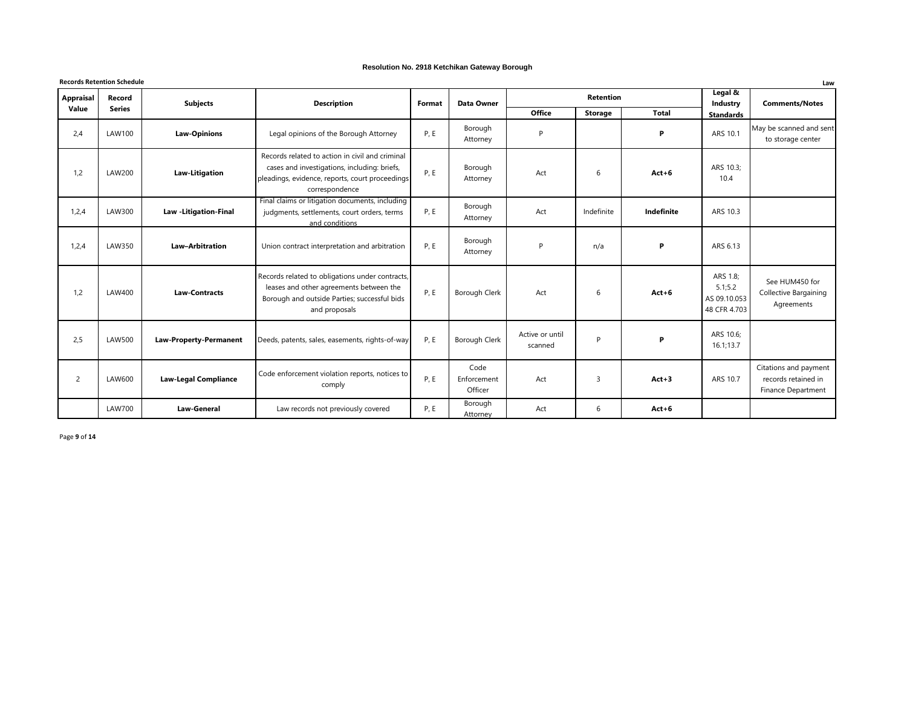#### **Records Retention Schedule Law Office Storage Total** 2,4 LAW100 **Law-Opinions** Legal opinions of the Borough Attorney P, E Borough Attorney P **P** ARS 10.1 May be scanned and sent to storage center 1,2 LAW200 **Law-Litigation** Records related to action in civil and criminal cases and investigations, including: briefs, pleadings, evidence, reports, court proceedings correspondence P, E Borough Attorney Act **1** 6 **Act+6** ARS 10.3; 10.4 1,2,4 LAW300 **Law -Litigation-Final** Final claims or litigation documents, including judgments, settlements, court orders, terms and conditions P, E Borough Attorney Act **Indefinite Indefinite** ARS 10.3 1,2,4 LAW350 **Law–Arbitration** Union contract interpretation and arbitration P, E Borough Attorney P n/a **P** ARS 6.13 1,2 LAW400 **Law-Contracts** Records related to obligations under contracts, leases and other agreements between the Borough and outside Parties; successful bids and proposals P, E Borough Clerk Act 1 6 Act+6 ARS 1.8; 5.1;5.2 AS 09.10.053 48 CFR 4.703 See HUM450 for Collective Bargaining Agreements 2,5 LAW500 **Law-Property-Permanent** Deeds, patents, sales, easements, rights-of-way P, E Borough Clerk Active or until scanned P **P** ARS 10.6; 16.1;13.7 2 LAW600 **Law-Legal Compliance** Code enforcement violation reports, notices to comply P, E Code Enforcement Officer Act 1 3 **Act + 3** ARS 10.7 Citations and payment records retained in Finance Department LAW700 **Law-General** Law records not previously covered P, E Borough Attorney Act **6 Act+6 Retention Legal & Industry Standards Comments/Notes Appraisal Value Record Series Subjects CO**<br>**Description Format Data Owner**

Page **9** of **14**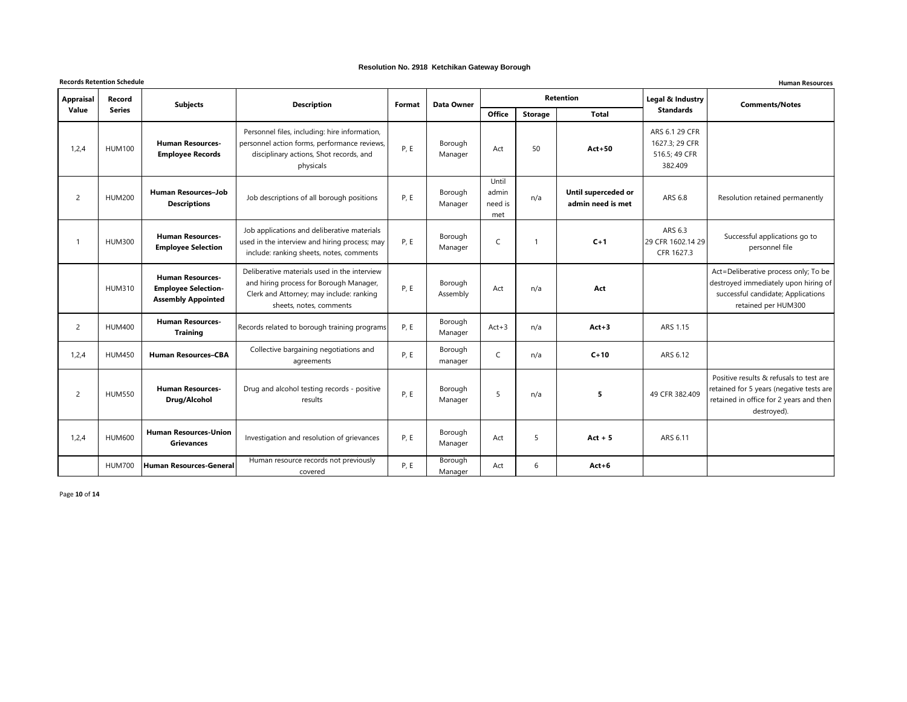|                | <b>Records Retention Schedule</b><br><b>Human Resources</b> |                                                                                    |                                                                                                                                                                |        |                     |                                  |                |                                          |                                                              |                                                                                                                                               |  |  |  |
|----------------|-------------------------------------------------------------|------------------------------------------------------------------------------------|----------------------------------------------------------------------------------------------------------------------------------------------------------------|--------|---------------------|----------------------------------|----------------|------------------------------------------|--------------------------------------------------------------|-----------------------------------------------------------------------------------------------------------------------------------------------|--|--|--|
| Appraisal      | <b>Record</b>                                               | <b>Subjects</b>                                                                    | <b>Description</b>                                                                                                                                             | Format | Data Owner          |                                  |                | <b>Retention</b>                         | Legal & Industry                                             | <b>Comments/Notes</b>                                                                                                                         |  |  |  |
| Value          | <b>Series</b>                                               |                                                                                    |                                                                                                                                                                |        |                     | <b>Office</b>                    | <b>Storage</b> | <b>Total</b>                             | <b>Standards</b>                                             |                                                                                                                                               |  |  |  |
| 1,2,4          | <b>HUM100</b>                                               | <b>Human Resources-</b><br><b>Employee Records</b>                                 | Personnel files, including: hire information,<br>personnel action forms, performance reviews,<br>disciplinary actions, Shot records, and<br>physicals          | P, E   | Borough<br>Manager  | Act                              | 50             | $Act+50$                                 | ARS 6.1 29 CFR<br>1627.3; 29 CFR<br>516.5; 49 CFR<br>382.409 |                                                                                                                                               |  |  |  |
| $\overline{2}$ | <b>HUM200</b>                                               | <b>Human Resources-Job</b><br><b>Descriptions</b>                                  | Job descriptions of all borough positions                                                                                                                      | P.E    | Borough<br>Manager  | Until<br>admin<br>need is<br>met | n/a            | Until superceded or<br>admin need is met | ARS 6.8                                                      | Resolution retained permanently                                                                                                               |  |  |  |
| -1             | <b>HUM300</b>                                               | <b>Human Resources-</b><br><b>Employee Selection</b>                               | Job applications and deliberative materials<br>used in the interview and hiring process; may<br>include: ranking sheets, notes, comments                       | P, E   | Borough<br>Manager  | C                                |                | $C+1$                                    | ARS 6.3<br>29 CFR 1602.14 29<br>CFR 1627.3                   | Successful applications go to<br>personnel file                                                                                               |  |  |  |
|                | <b>HUM310</b>                                               | <b>Human Resources-</b><br><b>Employee Selection-</b><br><b>Assembly Appointed</b> | Deliberative materials used in the interview<br>and hiring process for Borough Manager,<br>Clerk and Attorney; may include: ranking<br>sheets, notes, comments | P, E   | Borough<br>Assembly | Act                              | n/a            | Act                                      |                                                              | Act=Deliberative process only; To be<br>destroyed immediately upon hiring of<br>successful candidate; Applications<br>retained per HUM300     |  |  |  |
| $\overline{2}$ | <b>HUM400</b>                                               | <b>Human Resources-</b><br><b>Training</b>                                         | Records related to borough training programs                                                                                                                   | P, E   | Borough<br>Manager  | $Act+3$                          | n/a            | $Act+3$                                  | ARS 1.15                                                     |                                                                                                                                               |  |  |  |
| 1,2,4          | <b>HUM450</b>                                               | <b>Human Resources-CBA</b>                                                         | Collective bargaining negotiations and<br>agreements                                                                                                           | P, E   | Borough<br>manager  | $\mathsf{C}$                     | n/a            | $C+10$                                   | ARS 6.12                                                     |                                                                                                                                               |  |  |  |
| $\overline{2}$ | <b>HUM550</b>                                               | <b>Human Resources-</b><br>Drug/Alcohol                                            | Drug and alcohol testing records - positive<br>results                                                                                                         | P, E   | Borough<br>Manager  | 5                                | n/a            | 5                                        | 49 CFR 382.409                                               | Positive results & refusals to test are<br>retained for 5 years (negative tests are<br>retained in office for 2 years and then<br>destroyed). |  |  |  |
| 1,2,4          | <b>HUM600</b>                                               | <b>Human Resources-Union</b><br><b>Grievances</b>                                  | Investigation and resolution of grievances                                                                                                                     | P, E   | Borough<br>Manager  | Act                              | 5              | $Act + 5$                                | ARS 6.11                                                     |                                                                                                                                               |  |  |  |
|                | <b>HUM700</b>                                               | Human Resources-General                                                            | Human resource records not previously<br>covered                                                                                                               | P, E   | Borough<br>Manager  | Act                              | 6              | $Act+6$                                  |                                                              |                                                                                                                                               |  |  |  |

Page **10** of **14**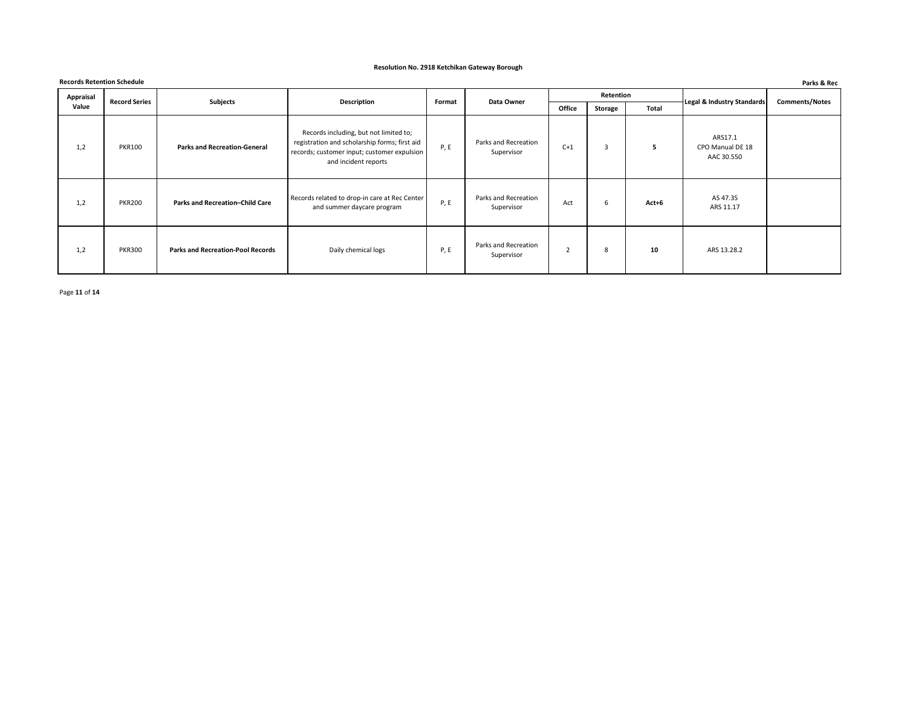|                  | <b>Records Retention Schedule</b><br>Parks & Rec |                                          |                                                                                                                                                                |             |                                    |                |                |              |                                           |                       |  |  |  |
|------------------|--------------------------------------------------|------------------------------------------|----------------------------------------------------------------------------------------------------------------------------------------------------------------|-------------|------------------------------------|----------------|----------------|--------------|-------------------------------------------|-----------------------|--|--|--|
| <b>Appraisal</b> | <b>Record Series</b>                             | Subjects                                 | <b>Description</b>                                                                                                                                             | Format      | Data Owner                         |                | Retention      |              | Legal & Industry Standards                | <b>Comments/Notes</b> |  |  |  |
| Value            |                                                  |                                          |                                                                                                                                                                |             |                                    | Office         | <b>Storage</b> | <b>Total</b> |                                           |                       |  |  |  |
| 1,2              | <b>PKR100</b>                                    | <b>Parks and Recreation-General</b>      | Records including, but not limited to;<br>registration and scholarship forms; first aid<br>records; customer input; customer expulsion<br>and incident reports | <b>P, E</b> | Parks and Recreation<br>Supervisor | $C+1$          | 3              | 5.           | ARS17.1<br>CPO Manual DE 18<br>AAC 30.550 |                       |  |  |  |
| 1,2              | <b>PKR200</b>                                    | Parks and Recreation-Child Care          | Records related to drop-in care at Rec Center<br>and summer daycare program                                                                                    | <b>P, E</b> | Parks and Recreation<br>Supervisor | Act            | 6              | $Act+6$      | AS 47.35<br>ARS 11.17                     |                       |  |  |  |
| 1,2              | <b>PKR300</b>                                    | <b>Parks and Recreation-Pool Records</b> | Daily chemical logs                                                                                                                                            | <b>P, E</b> | Parks and Recreation<br>Supervisor | $\overline{2}$ | 8              | 10           | ARS 13.28.2                               |                       |  |  |  |

Page **11** of **14**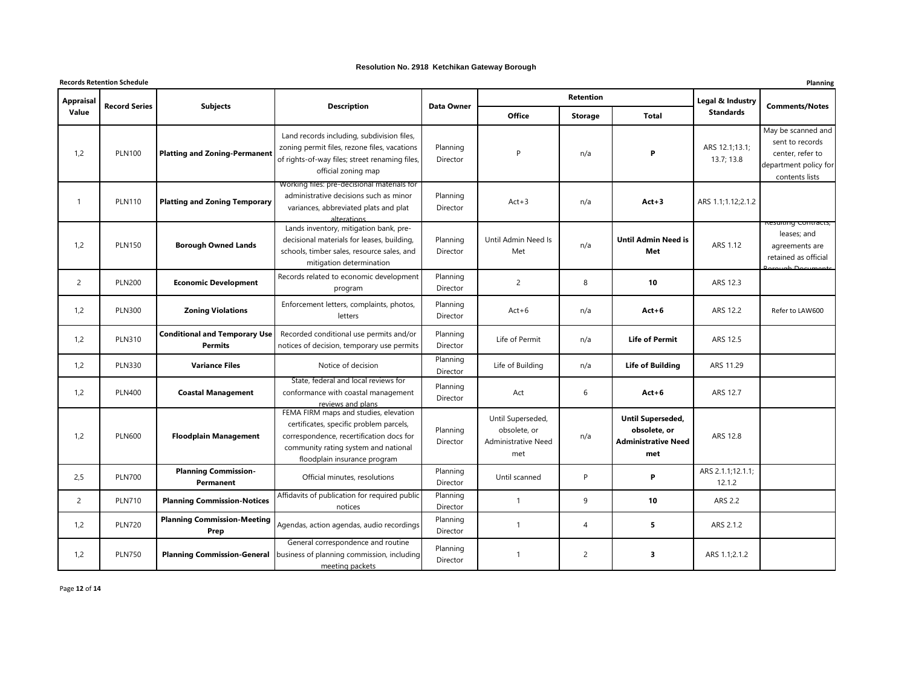#### **Records Retention Schedule Planning Office Storage Total** 1,2 PLN100 **Platting and Zoning-Permanent** Land records including, subdivision files, zoning permit files, rezone files, vacations of rights-of-way files; street renaming files, official zoning map Planning Director P n/a **P** ARS 12.1;13.1; 13.7; 13.8 May be scanned and sent to records center, refer to department policy for contents lists 1 PLN110 **Platting and Zoning Temporary** Working files: pre-decisional materials for administrative decisions such as minor variances, abbreviated plats and plat alterations Planning Director Act+3 n/a **Act+3** ARS 1.1;1.12;2.1.2 1,2 PLN150 **Borough Owned Lands** Lands inventory, mitigation bank, predecisional materials for leases, building, schools, timber sales, resource sales, and mitigation determination Planning Director Until Admin Need Is Met n/a **Until Admin Need is Met** ARS 1.12 n<del>g contra</del>c leases; and agreements are retained as official Borough Documents 2 PLN200 **Economic Development** Records related to economic development program Planning Director 2 **10 10** ARS 12.3 1,2 PLN300 **Zoning Violations** Enforcement letters, complaints, photos, letters Planning Director Act+6 n/a **Act+6** ARS 12.2 Refer to LAW600 1,2 PLN310 **Conditional and Temporary Use Permits** Recorded conditional use permits and/or notices of decision, temporary use permits Planning Director Life of Permit **N** n/a **Life of Permit** ARS 12.5 1,2 PLN330 **Variance Files** Notice of decision Planning Director Life of Building **No. 1.4 Life of Building | ARS 11.29** 1,2 PLN400 **Coastal Management** State, federal and local reviews for conformance with coastal management reviews and plans Planning Director Act **6 Act +6 ARS** 12.7 1,2 PLN600 **Floodplain Management** FEMA FIRM maps and studies, elevation certificates, specific problem parcels, correspondence, recertification docs for community rating system and national floodplain insurance program Planning Director Until Superseded, obsolete, or Administrative Need met n/a **Until Superseded, obsolete, or Administrative Need met** ARS 12.8 2,5 PLN700 **Planning Commission-Permanent** Official minutes, resolutions Planning Director Until scanned **P P P** ARS 2.1.1;12.1.1; 12.1.2 2 PLN710 **Planning Commission-Notices** Affidavits of publication for required public notices Planning Director 1 9 **10** ARS 2.2 1,2 PLN720 **Planning Commission-Meeting Prep** Agendas, action agendas, audio recordings Planning Director 1 4 **5** ARS 2.1.2 1,2 PLN750 **Planning Commission-General** General correspondence and routine business of planning commission, including meeting packets Planning Director 1 2 **3** ARS 1.1;2.1.2 **Retention Legal & Industry Standards Comments/Notes Appraisal Value Record Series Subjects Description Data Owner**

Page **12** of **14**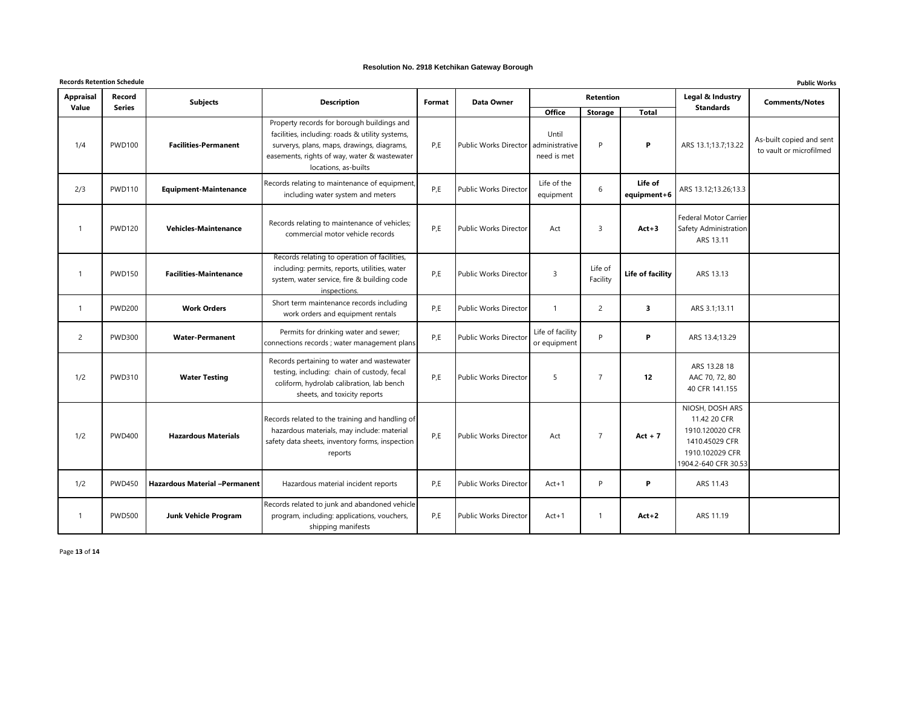| <b>Records Retention Schedule</b> |                         |                                      |                                                                                                                                                                                                                     |                         |                              |                                                         |                     |                         |                                                                                                                 | <b>Public Works</b>                                 |
|-----------------------------------|-------------------------|--------------------------------------|---------------------------------------------------------------------------------------------------------------------------------------------------------------------------------------------------------------------|-------------------------|------------------------------|---------------------------------------------------------|---------------------|-------------------------|-----------------------------------------------------------------------------------------------------------------|-----------------------------------------------------|
| <b>Appraisal</b><br>Value         | Record<br><b>Series</b> | <b>Subjects</b>                      | <b>Description</b>                                                                                                                                                                                                  | Format                  | <b>Data Owner</b>            |                                                         | <b>Retention</b>    |                         | Legal & Industry<br><b>Standards</b>                                                                            | <b>Comments/Notes</b>                               |
| 1/4                               | <b>PWD100</b>           | <b>Facilities-Permanent</b>          | Property records for borough buildings and<br>facilities, including: roads & utility systems,<br>surverys, plans, maps, drawings, diagrams,<br>easements, rights of way, water & wastewater<br>locations, as-builts | P,E                     | Public Works Director        | <b>Office</b><br>Until<br>administrative<br>need is met | <b>Storage</b><br>P | <b>Total</b><br>P       | ARS 13.1;13.7;13.22                                                                                             | As-built copied and sent<br>to vault or microfilmed |
| 2/3                               | <b>PWD110</b>           | <b>Equipment-Maintenance</b>         | Records relating to maintenance of equipment,<br>including water system and meters                                                                                                                                  | P,E                     | <b>Public Works Director</b> | Life of the<br>equipment                                | 6                   | Life of<br>equipment+6  | ARS 13.12;13.26;13.3                                                                                            |                                                     |
| $\overline{1}$                    | <b>PWD120</b>           | <b>Vehicles-Maintenance</b>          | Records relating to maintenance of vehicles;<br>commercial motor vehicle records                                                                                                                                    | P,E                     | Public Works Director        | Act                                                     | 3                   | $Act+3$                 | <b>Federal Motor Carrier</b><br>Safety Administration<br>ARS 13.11                                              |                                                     |
| -1                                | <b>PWD150</b>           | <b>Facilities-Maintenance</b>        | Records relating to operation of facilities,<br>including: permits, reports, utilities, water<br>system, water service, fire & building code<br>inspections.                                                        | P,E                     | <b>Public Works Director</b> | $\overline{3}$                                          | Life of<br>Facility | Life of facility        | ARS 13.13                                                                                                       |                                                     |
| -1                                | <b>PWD200</b>           | <b>Work Orders</b>                   | Short term maintenance records including<br>work orders and equipment rentals                                                                                                                                       | P,E                     | Public Works Director        | $\overline{1}$                                          | $\overline{2}$      | $\overline{\mathbf{3}}$ | ARS 3.1;13.11                                                                                                   |                                                     |
| 2                                 | <b>PWD300</b>           | <b>Water-Permanent</b>               | Permits for drinking water and sewer;<br>connections records ; water management plans                                                                                                                               | P,E                     | <b>Public Works Director</b> | Life of facility<br>or equipment                        | P                   | P                       | ARS 13.4;13.29                                                                                                  |                                                     |
| 1/2                               | <b>PWD310</b>           | <b>Water Testing</b>                 | Records pertaining to water and wastewater<br>testing, including: chain of custody, fecal<br>coliform, hydrolab calibration, lab bench<br>sheets, and toxicity reports                                              | P,E                     | Public Works Director        | 5                                                       | $\overline{7}$      | 12                      | ARS 13.28 18<br>AAC 70, 72, 80<br>40 CFR 141.155                                                                |                                                     |
| 1/2                               | <b>PWD400</b>           | <b>Hazardous Materials</b>           | Records related to the training and handling of<br>hazardous materials, may include: material<br>safety data sheets, inventory forms, inspection<br>reports                                                         | $\mathsf{P},\mathsf{E}$ | Public Works Director        | Act                                                     | $\overline{7}$      | $Act + 7$               | NIOSH, DOSH ARS<br>11.42 20 CFR<br>1910.120020 CFR<br>1410.45029 CFR<br>1910.102029 CFR<br>1904.2-640 CFR 30.53 |                                                     |
| 1/2                               | <b>PWD450</b>           | <b>Hazardous Material -Permanent</b> | Hazardous material incident reports                                                                                                                                                                                 | P,E                     | Public Works Director        | $Act+1$                                                 | P                   | P                       | ARS 11.43                                                                                                       |                                                     |
| -1                                | <b>PWD500</b>           | <b>Junk Vehicle Program</b>          | Records related to junk and abandoned vehicle<br>program, including: applications, vouchers,<br>shipping manifests                                                                                                  | P,E                     | Public Works Director        | $Act+1$                                                 | $\mathbf{1}$        | $Act+2$                 | ARS 11.19                                                                                                       |                                                     |

Page **13** of **14**